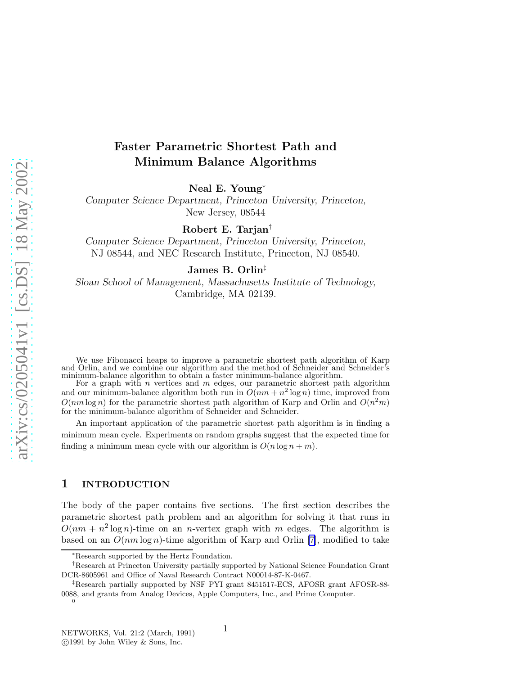# Faster Parametric Shortest Path and Minimum Balance Algorithms

Neal E. Young<sup>∗</sup>

Computer Science Department, Princeton University, Princeton, New Jersey, 08544

Robert E. Tarjan†

Computer Science Department, Princeton University, Princeton, NJ 08544, and NEC Research Institute, Princeton, NJ 08540.

James B. Orlin‡

Sloan School of Management, Massachusetts Institute of Technology, Cambridge, MA 02139.

We use Fibonacci heaps to improve a parametric shortest path algorithm of Karp and Orlin, and we combine our algorithm and the method of Schneider and Schneider's minimum-balance algorithm to obtain a faster minimum-balance algorithm.

For a graph with  $n$  vertices and  $m$  edges, our parametric shortest path algorithm and our minimum-balance algorithm both run in  $O(nm + n^2 \log n)$  time, improved from  $O(nm \log n)$  for the parametric shortest path algorithm of Karp and Orlin and  $O(n^2m)$ for the minimum-balance algorithm of Schneider and Schneider.

An important application of the parametric shortest path algorithm is in finding a minimum mean cycle. Experiments on random graphs suggest that the expected time for finding a minimum mean cycle with our algorithm is  $O(n \log n + m)$ .

### 1 INTRODUCTION

The body of the paper contains five sections. The first section describes the parametric shortest path problem and an algorithm for solving it that runs in  $O(nm + n^2 \log n)$ -time on an *n*-vertex graph with m edges. The algorithm is based on an  $O(nm \log n)$ -time algorithm of Karp and Orlin [\[7\]](#page-16-0), modified to take

<sup>∗</sup>Research supported by the Hertz Foundation.

<sup>†</sup>Research at Princeton University partially supported by National Science Foundation Grant DCR-8605961 and Office of Naval Research Contract N00014-87-K-0467.

<sup>‡</sup>Research partially supported by NSF PYI grant 8451517-ECS, AFOSR grant AFOSR-88- 0088, and grants from Analog Devices, Apple Computers, Inc., and Prime Computer.  $\overline{0}$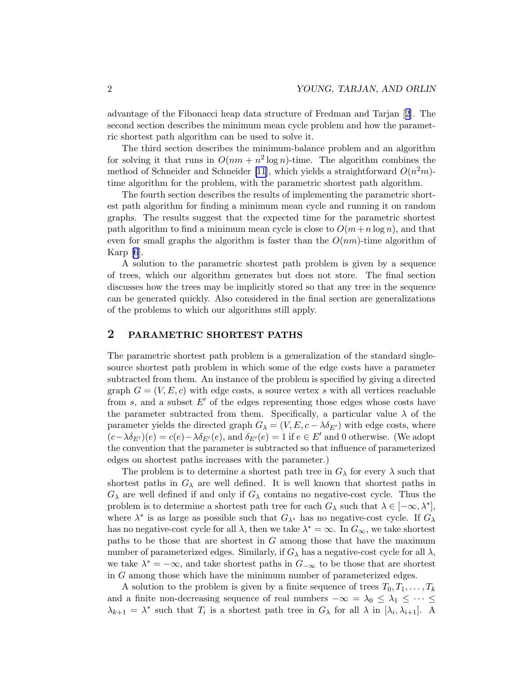<span id="page-1-0"></span>advantage of the Fibonacci heap data structure of Fredman and Tarjan[[2\]](#page-15-0). The second section describes the minimum mean cycle problem and how the parametric shortest path algorithm can be used to solve it.

The third section describes the minimum-balance problem and an algorithm for solving it that runs in  $O(nm + n^2 \log n)$ -time. The algorithm combines the method of Schneider and Schneider [\[11](#page-16-0)], which yields a straightforward  $O(n^2m)$ time algorithm for the problem, with the parametric shortest path algorithm.

The fourth section describes the results of implementing the parametric shortest path algorithm for finding a minimum mean cycle and running it on random graphs. The results suggest that the expected time for the parametric shortest path algorithm to find a minimum mean cycle is close to  $O(m+n \log n)$ , and that even for small graphs the algorithm is faster than the  $O(nm)$ -time algorithm of Karp [\[6](#page-16-0)].

A solution to the parametric shortest path problem is given by a sequence of trees, which our algorithm generates but does not store. The final section discusses how the trees may be implicitly stored so that any tree in the sequence can be generated quickly. Also considered in the final section are generalizations of the problems to which our algorithms still apply.

## 2 PARAMETRIC SHORTEST PATHS

The parametric shortest path problem is a generalization of the standard singlesource shortest path problem in which some of the edge costs have a parameter subtracted from them. An instance of the problem is specified by giving a directed graph  $G = (V, E, c)$  with edge costs, a source vertex s with all vertices reachable from s, and a subset  $E'$  of the edges representing those edges whose costs have the parameter subtracted from them. Specifically, a particular value  $\lambda$  of the parameter yields the directed graph  $G_{\lambda} = (V, E, c - \lambda \delta_{E'})$  with edge costs, where  $(c-\lambda\delta_{E'})(e) = c(e)-\lambda\delta_{E'}(e)$ , and  $\delta_{E'}(e) = 1$  if  $e \in E'$  and 0 otherwise. (We adopt the convention that the parameter is subtracted so that influence of parameterized edges on shortest paths increases with the parameter.)

The problem is to determine a shortest path tree in  $G_{\lambda}$  for every  $\lambda$  such that shortest paths in  $G_{\lambda}$  are well defined. It is well known that shortest paths in  $G_{\lambda}$  are well defined if and only if  $G_{\lambda}$  contains no negative-cost cycle. Thus the problem is to determine a shortest path tree for each  $G_{\lambda}$  such that  $\lambda \in [-\infty, \lambda^*],$ where  $\lambda^*$  is as large as possible such that  $G_{\lambda^*}$  has no negative-cost cycle. If  $G_{\lambda}$ has no negative-cost cycle for all  $\lambda$ , then we take  $\lambda^* = \infty$ . In  $G_{\infty}$ , we take shortest paths to be those that are shortest in  $G$  among those that have the maximum number of parameterized edges. Similarly, if  $G_{\lambda}$  has a negative-cost cycle for all  $\lambda$ , we take  $\lambda^* = -\infty$ , and take shortest paths in  $G_{-\infty}$  to be those that are shortest in G among those which have the minimum number of parameterized edges.

A solution to the problem is given by a finite sequence of trees  $T_0, T_1, \ldots, T_k$ and a finite non-decreasing sequence of real numbers  $-\infty = \lambda_0 \leq \lambda_1 \leq \cdots \leq$  $\lambda_{k+1} = \lambda^*$  such that  $T_i$  is a shortest path tree in  $G_\lambda$  for all  $\lambda$  in  $[\lambda_i, \lambda_{i+1}]$ . A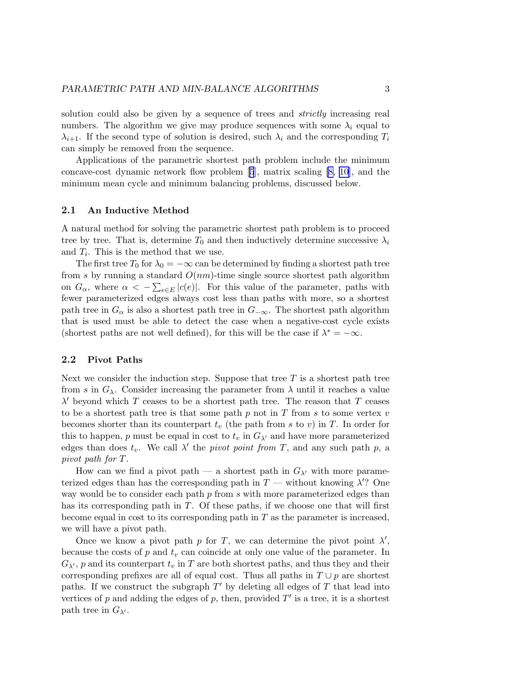solution could also be given by a sequence of trees and *strictly* increasing real numbers. The algorithm we give may produce sequences with some  $\lambda_i$  equal to  $\lambda_{i+1}$ . If the second type of solution is desired, such  $\lambda_i$  and the corresponding  $T_i$ can simply be removed from the sequence.

Applications of the parametric shortest path problem include the minimum concave-cost dynamic network flow problem[[5](#page-15-0)], matrix scaling [\[8, 10](#page-16-0)], and the minimum mean cycle and minimum balancing problems, discussed below.

#### 2.1 An Inductive Method

A natural method for solving the parametric shortest path problem is to proceed tree by tree. That is, determine  $T_0$  and then inductively determine successive  $\lambda_i$ and  $T_i$ . This is the method that we use.

The first tree  $T_0$  for  $\lambda_0 = -\infty$  can be determined by finding a shortest path tree from s by running a standard  $O(nm)$ -time single source shortest path algorithm on  $G_{\alpha}$ , where  $\alpha < -\sum_{e \in E} |c(e)|$ . For this value of the parameter, paths with fewer parameterized edges always cost less than paths with more, so a shortest path tree in  $G_{\alpha}$  is also a shortest path tree in  $G_{-\infty}$ . The shortest path algorithm that is used must be able to detect the case when a negative-cost cycle exists (shortest paths are not well defined), for this will be the case if  $\lambda^* = -\infty$ .

#### 2.2 Pivot Paths

Next we consider the induction step. Suppose that tree  $T$  is a shortest path tree from s in  $G_\lambda$ . Consider increasing the parameter from  $\lambda$  until it reaches a value  $\lambda'$  beyond which T ceases to be a shortest path tree. The reason that T ceases to be a shortest path tree is that some path p not in T from s to some vertex v becomes shorter than its counterpart  $t<sub>v</sub>$  (the path from s to v) in T. In order for this to happen, p must be equal in cost to  $t_v$  in  $G_{\lambda'}$  and have more parameterized edges than does  $t_v$ . We call  $\lambda'$  the pivot point from T, and any such path p, a pivot path for T.

How can we find a pivot path — a shortest path in  $G_{\lambda'}$  with more parameterized edges than has the corresponding path in  $T$  — without knowing  $\lambda$ ? One way would be to consider each path  $p$  from s with more parameterized edges than has its corresponding path in  $T$ . Of these paths, if we choose one that will first become equal in cost to its corresponding path in  $T$  as the parameter is increased, we will have a pivot path.

Once we know a pivot path p for T, we can determine the pivot point  $\lambda'$ , because the costs of  $p$  and  $t<sub>v</sub>$  can coincide at only one value of the parameter. In  $G_{\lambda'}$ , p and its counterpart  $t_v$  in T are both shortest paths, and thus they and their corresponding prefixes are all of equal cost. Thus all paths in  $T \cup p$  are shortest paths. If we construct the subgraph  $T'$  by deleting all edges of  $T$  that lead into vertices of p and adding the edges of p, then, provided  $T'$  is a tree, it is a shortest path tree in  $G_{\lambda'}$ .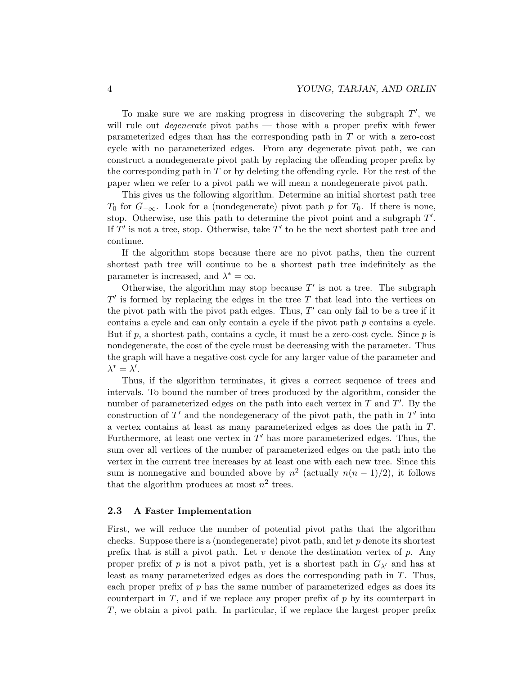To make sure we are making progress in discovering the subgraph  $T'$ , we will rule out *degenerate* pivot paths — those with a proper prefix with fewer parameterized edges than has the corresponding path in T or with a zero-cost cycle with no parameterized edges. From any degenerate pivot path, we can construct a nondegenerate pivot path by replacing the offending proper prefix by the corresponding path in  $T$  or by deleting the offending cycle. For the rest of the paper when we refer to a pivot path we will mean a nondegenerate pivot path.

This gives us the following algorithm. Determine an initial shortest path tree  $T_0$  for  $G_{-\infty}$ . Look for a (nondegenerate) pivot path p for  $T_0$ . If there is none, stop. Otherwise, use this path to determine the pivot point and a subgraph  $T'$ . If  $T'$  is not a tree, stop. Otherwise, take  $T'$  to be the next shortest path tree and continue.

If the algorithm stops because there are no pivot paths, then the current shortest path tree will continue to be a shortest path tree indefinitely as the parameter is increased, and  $\lambda^* = \infty$ .

Otherwise, the algorithm may stop because  $T'$  is not a tree. The subgraph  $T'$  is formed by replacing the edges in the tree  $T$  that lead into the vertices on the pivot path with the pivot path edges. Thus,  $T'$  can only fail to be a tree if it contains a cycle and can only contain a cycle if the pivot path p contains a cycle. But if p, a shortest path, contains a cycle, it must be a zero-cost cycle. Since  $p$  is nondegenerate, the cost of the cycle must be decreasing with the parameter. Thus the graph will have a negative-cost cycle for any larger value of the parameter and  $\lambda^* = \lambda'.$ 

Thus, if the algorithm terminates, it gives a correct sequence of trees and intervals. To bound the number of trees produced by the algorithm, consider the number of parameterized edges on the path into each vertex in  $T$  and  $T'$ . By the construction of  $T'$  and the nondegeneracy of the pivot path, the path in  $T'$  into a vertex contains at least as many parameterized edges as does the path in T. Furthermore, at least one vertex in  $T'$  has more parameterized edges. Thus, the sum over all vertices of the number of parameterized edges on the path into the vertex in the current tree increases by at least one with each new tree. Since this sum is nonnegative and bounded above by  $n^2$  (actually  $n(n-1)/2$ ), it follows that the algorithm produces at most  $n^2$  trees.

### 2.3 A Faster Implementation

First, we will reduce the number of potential pivot paths that the algorithm checks. Suppose there is a (nondegenerate) pivot path, and let  $p$  denote its shortest prefix that is still a pivot path. Let  $v$  denote the destination vertex of  $p$ . Any proper prefix of p is not a pivot path, yet is a shortest path in  $G_{\lambda'}$  and has at least as many parameterized edges as does the corresponding path in T. Thus, each proper prefix of p has the same number of parameterized edges as does its counterpart in  $T$ , and if we replace any proper prefix of  $p$  by its counterpart in T, we obtain a pivot path. In particular, if we replace the largest proper prefix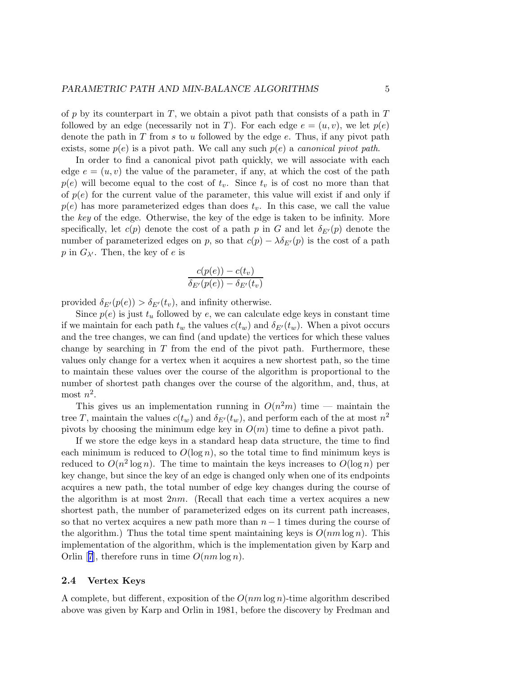of p by its counterpart in T, we obtain a pivot path that consists of a path in  $T$ followed by an edge (necessarily not in T). For each edge  $e = (u, v)$ , we let  $p(e)$ denote the path in T from s to u followed by the edge  $e$ . Thus, if any pivot path exists, some  $p(e)$  is a pivot path. We call any such  $p(e)$  a *canonical pivot path*.

In order to find a canonical pivot path quickly, we will associate with each edge  $e = (u, v)$  the value of the parameter, if any, at which the cost of the path  $p(e)$  will become equal to the cost of  $t_v$ . Since  $t_v$  is of cost no more than that of  $p(e)$  for the current value of the parameter, this value will exist if and only if  $p(e)$  has more parameterized edges than does  $t_v$ . In this case, we call the value the key of the edge. Otherwise, the key of the edge is taken to be infinity. More specifically, let  $c(p)$  denote the cost of a path p in G and let  $\delta_{E'}(p)$  denote the number of parameterized edges on p, so that  $c(p) - \lambda \delta_{E'}(p)$  is the cost of a path p in  $G_{\lambda'}$ . Then, the key of e is

$$
\frac{c(p(e)) - c(t_v)}{\delta_{E'}(p(e)) - \delta_{E'}(t_v)}
$$

provided  $\delta_{E'}(p(e)) > \delta_{E'}(t_v)$ , and infinity otherwise.

Since  $p(e)$  is just  $t<sub>u</sub>$  followed by e, we can calculate edge keys in constant time if we maintain for each path  $t_w$  the values  $c(t_w)$  and  $\delta_{E'}(t_w)$ . When a pivot occurs and the tree changes, we can find (and update) the vertices for which these values change by searching in  $T$  from the end of the pivot path. Furthermore, these values only change for a vertex when it acquires a new shortest path, so the time to maintain these values over the course of the algorithm is proportional to the number of shortest path changes over the course of the algorithm, and, thus, at most  $n^2$ .

This gives us an implementation running in  $O(n^2m)$  time — maintain the tree T, maintain the values  $c(t_w)$  and  $\delta_{E'}(t_w)$ , and perform each of the at most  $n^2$ pivots by choosing the minimum edge key in  $O(m)$  time to define a pivot path.

If we store the edge keys in a standard heap data structure, the time to find each minimum is reduced to  $O(\log n)$ , so the total time to find minimum keys is reduced to  $O(n^2 \log n)$ . The time to maintain the keys increases to  $O(\log n)$  per key change, but since the key of an edge is changed only when one of its endpoints acquires a new path, the total number of edge key changes during the course of the algorithm is at most  $2nm$ . (Recall that each time a vertex acquires a new shortest path, the number of parameterized edges on its current path increases, so that no vertex acquires a new path more than  $n-1$  times during the course of the algorithm.) Thus the total time spent maintaining keys is  $O(nm \log n)$ . This implementation of the algorithm, which is the implementation given by Karp and Orlin[[7\]](#page-16-0), therefore runs in time  $O(nm \log n)$ .

### 2.4 Vertex Keys

A complete, but different, exposition of the  $O(nm \log n)$ -time algorithm described above was given by Karp and Orlin in 1981, before the discovery by Fredman and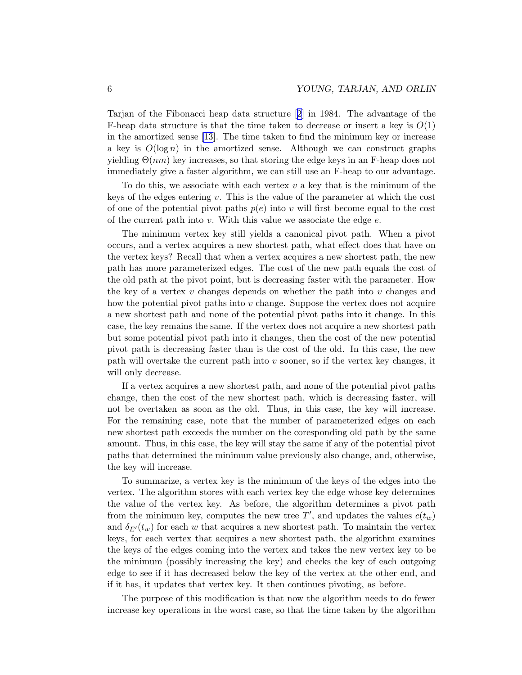Tarjan of the Fibonacci heap data structure[[2](#page-15-0)] in 1984. The advantage of the F-heap data structure is that the time taken to decrease or insert a key is  $O(1)$ in the amortized sense [\[13](#page-16-0)]. The time taken to find the minimum key or increase a key is  $O(\log n)$  in the amortized sense. Although we can construct graphs yielding  $\Theta(nm)$  key increases, so that storing the edge keys in an F-heap does not immediately give a faster algorithm, we can still use an F-heap to our advantage.

To do this, we associate with each vertex  $v$  a key that is the minimum of the keys of the edges entering v. This is the value of the parameter at which the cost of one of the potential pivot paths  $p(e)$  into v will first become equal to the cost of the current path into  $v$ . With this value we associate the edge  $e$ .

The minimum vertex key still yields a canonical pivot path. When a pivot occurs, and a vertex acquires a new shortest path, what effect does that have on the vertex keys? Recall that when a vertex acquires a new shortest path, the new path has more parameterized edges. The cost of the new path equals the cost of the old path at the pivot point, but is decreasing faster with the parameter. How the key of a vertex  $v$  changes depends on whether the path into  $v$  changes and how the potential pivot paths into  $v$  change. Suppose the vertex does not acquire a new shortest path and none of the potential pivot paths into it change. In this case, the key remains the same. If the vertex does not acquire a new shortest path but some potential pivot path into it changes, then the cost of the new potential pivot path is decreasing faster than is the cost of the old. In this case, the new path will overtake the current path into  $v$  sooner, so if the vertex key changes, it will only decrease.

If a vertex acquires a new shortest path, and none of the potential pivot paths change, then the cost of the new shortest path, which is decreasing faster, will not be overtaken as soon as the old. Thus, in this case, the key will increase. For the remaining case, note that the number of parameterized edges on each new shortest path exceeds the number on the coresponding old path by the same amount. Thus, in this case, the key will stay the same if any of the potential pivot paths that determined the minimum value previously also change, and, otherwise, the key will increase.

To summarize, a vertex key is the minimum of the keys of the edges into the vertex. The algorithm stores with each vertex key the edge whose key determines the value of the vertex key. As before, the algorithm determines a pivot path from the minimum key, computes the new tree  $T'$ , and updates the values  $c(t_w)$ and  $\delta_{E'}(t_w)$  for each w that acquires a new shortest path. To maintain the vertex keys, for each vertex that acquires a new shortest path, the algorithm examines the keys of the edges coming into the vertex and takes the new vertex key to be the minimum (possibly increasing the key) and checks the key of each outgoing edge to see if it has decreased below the key of the vertex at the other end, and if it has, it updates that vertex key. It then continues pivoting, as before.

The purpose of this modification is that now the algorithm needs to do fewer increase key operations in the worst case, so that the time taken by the algorithm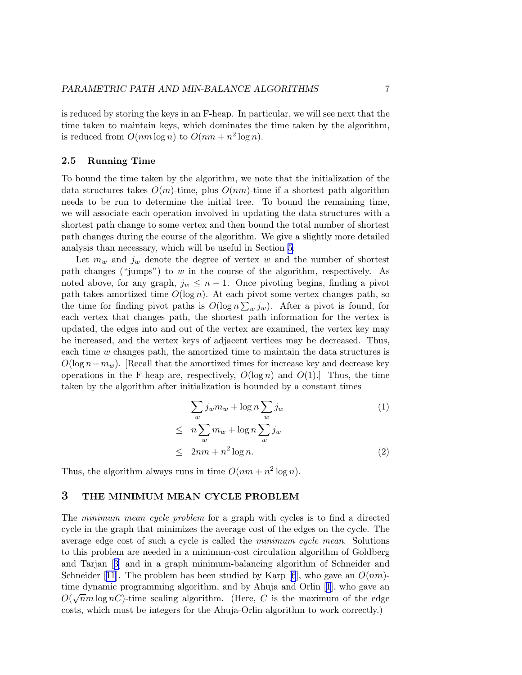<span id="page-6-0"></span>is reduced by storing the keys in an F-heap. In particular, we will see next that the time taken to maintain keys, which dominates the time taken by the algorithm, is reduced from  $O(nm \log n)$  to  $O(nm + n^2 \log n)$ .

#### 2.5 Running Time

To bound the time taken by the algorithm, we note that the initialization of the data structures takes  $O(m)$ -time, plus  $O(nm)$ -time if a shortest path algorithm needs to be run to determine the initial tree. To bound the remaining time, we will associate each operation involved in updating the data structures with a shortest path change to some vertex and then bound the total number of shortest path changes during the course of the algorithm. We give a slightly more detailed analysis than necessary, which will be useful in Section [5](#page-10-0).

Let  $m_w$  and  $j_w$  denote the degree of vertex w and the number of shortest path changes ("jumps") to  $w$  in the course of the algorithm, respectively. As noted above, for any graph,  $j_w \leq n-1$ . Once pivoting begins, finding a pivot path takes amortized time  $O(\log n)$ . At each pivot some vertex changes path, so the time for finding pivot paths is  $O(\log n \sum_{w} j_w)$ . After a pivot is found, for each vertex that changes path, the shortest path information for the vertex is updated, the edges into and out of the vertex are examined, the vertex key may be increased, and the vertex keys of adjacent vertices may be decreased. Thus, each time  $w$  changes path, the amortized time to maintain the data structures is  $O(\log n+m_w)$ . [Recall that the amortized times for increase key and decrease key operations in the F-heap are, respectively,  $O(\log n)$  and  $O(1)$ . Thus, the time taken by the algorithm after initialization is bounded by a constant times

$$
\sum_{w} j_{w} m_{w} + \log n \sum_{w} j_{w}
$$
\n
$$
\leq n \sum_{w} m_{w} + \log n \sum_{w} j_{w}
$$
\n
$$
\leq 2nm + n^{2} \log n.
$$
\n(1)

Thus, the algorithm always runs in time  $O(nm + n^2 \log n)$ .

### 3 THE MINIMUM MEAN CYCLE PROBLEM

The minimum mean cycle problem for a graph with cycles is to find a directed cycle in the graph that minimizes the average cost of the edges on the cycle. The average edge cost of such a cycle is called the minimum cycle mean. Solutions to this problem are needed in a minimum-cost circulation algorithm of Goldberg and Tarjan[[3](#page-15-0)] and in a graph minimum-balancing algorithm of Schneider and Schneider[[11](#page-16-0)]. The problem has been studied by Karp [[6](#page-16-0)], who gave an  $O(nm)$ time dynamic programming algorithm, and by Ahuja and Orlin[[1](#page-15-0)], who gave an  $O(\sqrt{n}m \log nC)$ -time scaling algorithm. (Here, C is the maximum of the edge costs, which must be integers for the Ahuja-Orlin algorithm to work correctly.)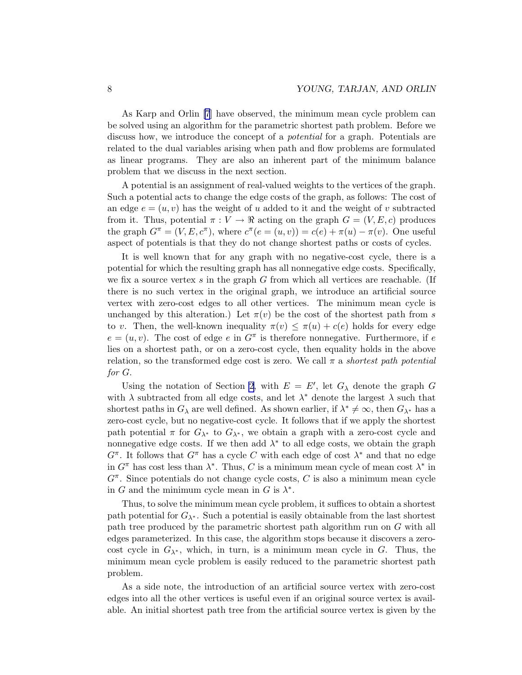As Karp and Orlin [\[7](#page-16-0)] have observed, the minimum mean cycle problem can be solved using an algorithm for the parametric shortest path problem. Before we discuss how, we introduce the concept of a *potential* for a graph. Potentials are related to the dual variables arising when path and flow problems are formulated as linear programs. They are also an inherent part of the minimum balance problem that we discuss in the next section.

A potential is an assignment of real-valued weights to the vertices of the graph. Such a potential acts to change the edge costs of the graph, as follows: The cost of an edge  $e = (u, v)$  has the weight of u added to it and the weight of v subtracted from it. Thus, potential  $\pi : V \to \mathbb{R}$  acting on the graph  $G = (V, E, c)$  produces the graph  $G^{\pi} = (V, E, c^{\pi})$ , where  $c^{\pi}(e = (u, v)) = c(e) + \pi(u) - \pi(v)$ . One useful aspect of potentials is that they do not change shortest paths or costs of cycles.

It is well known that for any graph with no negative-cost cycle, there is a potential for which the resulting graph has all nonnegative edge costs. Specifically, we fix a source vertex  $s$  in the graph  $G$  from which all vertices are reachable. (If there is no such vertex in the original graph, we introduce an artificial source vertex with zero-cost edges to all other vertices. The minimum mean cycle is unchanged by this alteration.) Let  $\pi(v)$  be the cost of the shortest path from s to v. Then, the well-known inequality  $\pi(v) \leq \pi(u) + c(e)$  holds for every edge  $e = (u, v)$ . The cost of edge  $e$  in  $G^{\pi}$  is therefore nonnegative. Furthermore, if  $e$ lies on a shortest path, or on a zero-cost cycle, then equality holds in the above relation, so the transformed edge cost is zero. We call  $\pi$  a shortest path potential for G.

Using the notation of Section [2,](#page-1-0) with  $E = E'$ , let  $G_{\lambda}$  denote the graph G with  $\lambda$  subtracted from all edge costs, and let  $\lambda^*$  denote the largest  $\lambda$  such that shortest paths in  $G_{\lambda}$  are well defined. As shown earlier, if  $\lambda^* \neq \infty$ , then  $G_{\lambda^*}$  has a zero-cost cycle, but no negative-cost cycle. It follows that if we apply the shortest path potential  $\pi$  for  $G_{\lambda^*}$  to  $G_{\lambda^*}$ , we obtain a graph with a zero-cost cycle and nonnegative edge costs. If we then add  $\lambda^*$  to all edge costs, we obtain the graph  $G^{\pi}$ . It follows that  $G^{\pi}$  has a cycle C with each edge of cost  $\lambda^*$  and that no edge in  $G^{\pi}$  has cost less than  $\lambda^*$ . Thus, C is a minimum mean cycle of mean cost  $\lambda^*$  in  $G^{\pi}$ . Since potentials do not change cycle costs, C is also a minimum mean cycle in G and the minimum cycle mean in G is  $\lambda^*$ .

Thus, to solve the minimum mean cycle problem, it suffices to obtain a shortest path potential for  $G_{\lambda^*}$ . Such a potential is easily obtainable from the last shortest path tree produced by the parametric shortest path algorithm run on G with all edges parameterized. In this case, the algorithm stops because it discovers a zerocost cycle in  $G_{\lambda^*}$ , which, in turn, is a minimum mean cycle in G. Thus, the minimum mean cycle problem is easily reduced to the parametric shortest path problem.

As a side note, the introduction of an artificial source vertex with zero-cost edges into all the other vertices is useful even if an original source vertex is available. An initial shortest path tree from the artificial source vertex is given by the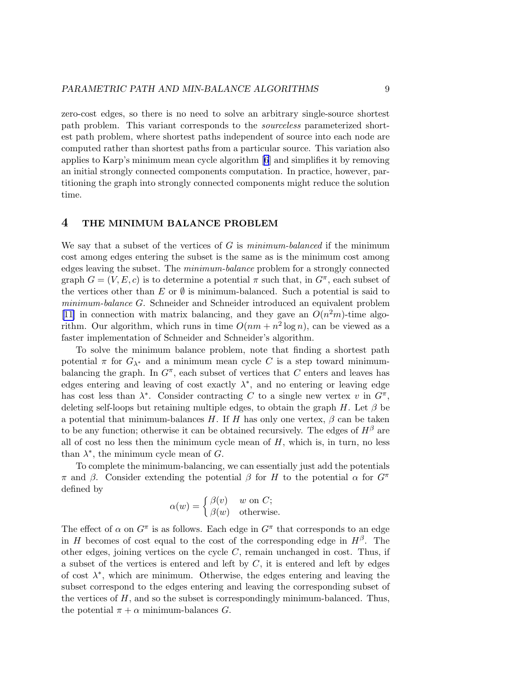zero-cost edges, so there is no need to solve an arbitrary single-source shortest path problem. This variant corresponds to the sourceless parameterized shortest path problem, where shortest paths independent of source into each node are computed rather than shortest paths from a particular source. This variation also applies to Karp's minimum mean cycle algorithm [\[6](#page-16-0)] and simplifies it by removing an initial strongly connected components computation. In practice, however, partitioning the graph into strongly connected components might reduce the solution time.

### 4 THE MINIMUM BALANCE PROBLEM

We say that a subset of the vertices of  $G$  is minimum-balanced if the minimum cost among edges entering the subset is the same as is the minimum cost among edges leaving the subset. The minimum-balance problem for a strongly connected graph  $G = (V, E, c)$  is to determine a potential  $\pi$  such that, in  $G^{\pi}$ , each subset of the vertices other than E or  $\emptyset$  is minimum-balanced. Such a potential is said to minimum-balance G. Schneider and Schneider introduced an equivalent problem [\[11\]](#page-16-0) in connection with matrix balancing, and they gave an  $O(n^2m)$ -time algorithm. Our algorithm, which runs in time  $O(nm + n^2 \log n)$ , can be viewed as a faster implementation of Schneider and Schneider's algorithm.

To solve the minimum balance problem, note that finding a shortest path potential  $\pi$  for  $G_{\lambda^*}$  and a minimum mean cycle C is a step toward minimumbalancing the graph. In  $G^{\pi}$ , each subset of vertices that C enters and leaves has edges entering and leaving of cost exactly  $\lambda^*$ , and no entering or leaving edge has cost less than  $\lambda^*$ . Consider contracting C to a single new vertex v in  $G^{\pi}$ , deleting self-loops but retaining multiple edges, to obtain the graph  $H$ . Let  $\beta$  be a potential that minimum-balances H. If H has only one vertex,  $\beta$  can be taken to be any function; otherwise it can be obtained recursively. The edges of  $H^{\beta}$  are all of cost no less then the minimum cycle mean of  $H$ , which is, in turn, no less than  $\lambda^*$ , the minimum cycle mean of G.

To complete the minimum-balancing, we can essentially just add the potentials π and β. Consider extending the potential β for H to the potential  $\alpha$  for  $G^{\pi}$ defined by

$$
\alpha(w) = \begin{cases} \beta(v) & w \text{ on } C; \\ \beta(w) & \text{otherwise.} \end{cases}
$$

The effect of  $\alpha$  on  $G^{\pi}$  is as follows. Each edge in  $G^{\pi}$  that corresponds to an edge in H becomes of cost equal to the cost of the corresponding edge in  $H^{\beta}$ . The other edges, joining vertices on the cycle  $C$ , remain unchanged in cost. Thus, if a subset of the vertices is entered and left by  $C$ , it is entered and left by edges of cost  $\lambda^*$ , which are minimum. Otherwise, the edges entering and leaving the subset correspond to the edges entering and leaving the corresponding subset of the vertices of  $H$ , and so the subset is correspondingly minimum-balanced. Thus, the potential  $\pi + \alpha$  minimum-balances G.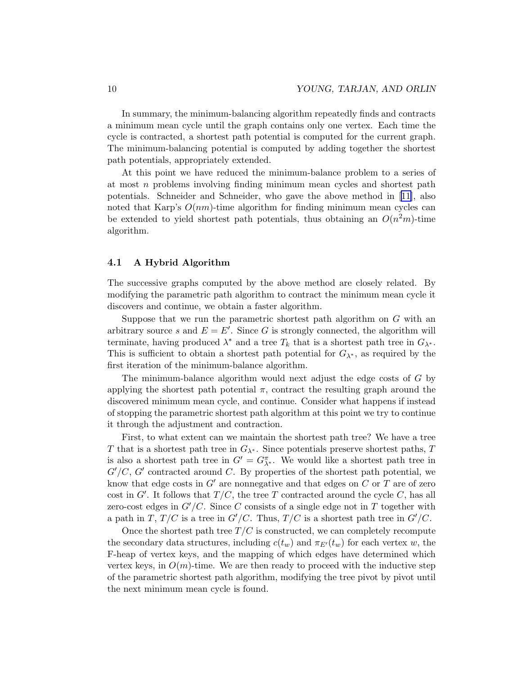In summary, the minimum-balancing algorithm repeatedly finds and contracts a minimum mean cycle until the graph contains only one vertex. Each time the cycle is contracted, a shortest path potential is computed for the current graph. The minimum-balancing potential is computed by adding together the shortest path potentials, appropriately extended.

At this point we have reduced the minimum-balance problem to a series of at most n problems involving finding minimum mean cycles and shortest path potentials. Schneider and Schneider, who gave the above method in[[11\]](#page-16-0), also noted that Karp's  $O(nm)$ -time algorithm for finding minimum mean cycles can be extended to yield shortest path potentials, thus obtaining an  $O(n^2m)$ -time algorithm.

#### 4.1 A Hybrid Algorithm

The successive graphs computed by the above method are closely related. By modifying the parametric path algorithm to contract the minimum mean cycle it discovers and continue, we obtain a faster algorithm.

Suppose that we run the parametric shortest path algorithm on  $G$  with an arbitrary source s and  $E = E'$ . Since G is strongly connected, the algorithm will terminate, having produced  $\lambda^*$  and a tree  $T_k$  that is a shortest path tree in  $G_{\lambda^*}$ . This is sufficient to obtain a shortest path potential for  $G_{\lambda^*}$ , as required by the first iteration of the minimum-balance algorithm.

The minimum-balance algorithm would next adjust the edge costs of G by applying the shortest path potential  $\pi$ , contract the resulting graph around the discovered minimum mean cycle, and continue. Consider what happens if instead of stopping the parametric shortest path algorithm at this point we try to continue it through the adjustment and contraction.

First, to what extent can we maintain the shortest path tree? We have a tree T that is a shortest path tree in  $G_{\lambda^*}$ . Since potentials preserve shortest paths, T is also a shortest path tree in  $G' = G_{\lambda^*}^{\pi}$ . We would like a shortest path tree in  $G'/C$ ,  $G'$  contracted around C. By properties of the shortest path potential, we know that edge costs in  $G'$  are nonnegative and that edges on  $C$  or  $T$  are of zero cost in  $G'$ . It follows that  $T/C$ , the tree T contracted around the cycle C, has all zero-cost edges in  $G'/C$ . Since C consists of a single edge not in T together with a path in T,  $T/C$  is a tree in  $G'/C$ . Thus,  $T/C$  is a shortest path tree in  $G'/C$ .

Once the shortest path tree  $T/C$  is constructed, we can completely recompute the secondary data structures, including  $c(t_w)$  and  $\pi_{E'}(t_w)$  for each vertex w, the F-heap of vertex keys, and the mapping of which edges have determined which vertex keys, in  $O(m)$ -time. We are then ready to proceed with the inductive step of the parametric shortest path algorithm, modifying the tree pivot by pivot until the next minimum mean cycle is found.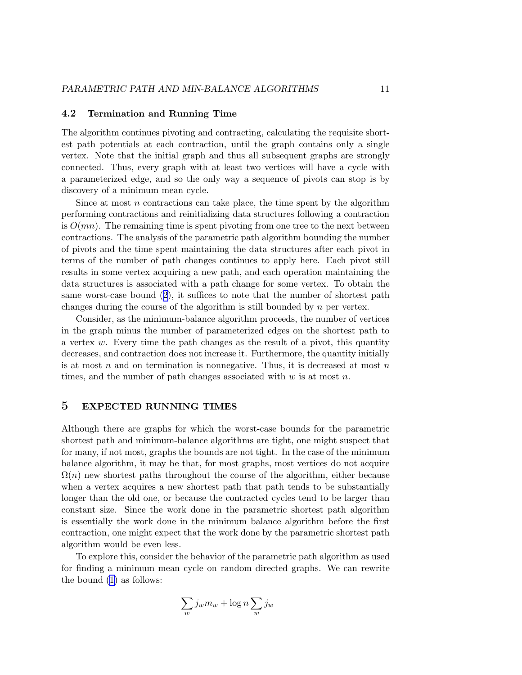#### <span id="page-10-0"></span>4.2 Termination and Running Time

The algorithm continues pivoting and contracting, calculating the requisite shortest path potentials at each contraction, until the graph contains only a single vertex. Note that the initial graph and thus all subsequent graphs are strongly connected. Thus, every graph with at least two vertices will have a cycle with a parameterized edge, and so the only way a sequence of pivots can stop is by discovery of a minimum mean cycle.

Since at most  $n$  contractions can take place, the time spent by the algorithm performing contractions and reinitializing data structures following a contraction is  $O(mn)$ . The remaining time is spent pivoting from one tree to the next between contractions. The analysis of the parametric path algorithm bounding the number of pivots and the time spent maintaining the data structures after each pivot in terms of the number of path changes continues to apply here. Each pivot still results in some vertex acquiring a new path, and each operation maintaining the data structures is associated with a path change for some vertex. To obtain the same worst-case bound ([2\)](#page-6-0), it suffices to note that the number of shortest path changes during the course of the algorithm is still bounded by n per vertex.

Consider, as the minimum-balance algorithm proceeds, the number of vertices in the graph minus the number of parameterized edges on the shortest path to a vertex  $w$ . Every time the path changes as the result of a pivot, this quantity decreases, and contraction does not increase it. Furthermore, the quantity initially is at most  $n$  and on termination is nonnegative. Thus, it is decreased at most  $n$ times, and the number of path changes associated with  $w$  is at most  $n$ .

### 5 EXPECTED RUNNING TIMES

Although there are graphs for which the worst-case bounds for the parametric shortest path and minimum-balance algorithms are tight, one might suspect that for many, if not most, graphs the bounds are not tight. In the case of the minimum balance algorithm, it may be that, for most graphs, most vertices do not acquire  $\Omega(n)$  new shortest paths throughout the course of the algorithm, either because when a vertex acquires a new shortest path that path tends to be substantially longer than the old one, or because the contracted cycles tend to be larger than constant size. Since the work done in the parametric shortest path algorithm is essentially the work done in the minimum balance algorithm before the first contraction, one might expect that the work done by the parametric shortest path algorithm would be even less.

To explore this, consider the behavior of the parametric path algorithm as used for finding a minimum mean cycle on random directed graphs. We can rewrite the bound ([1](#page-6-0)) as follows:

$$
\sum_{w} j_{w} m_{w} + \log n \sum_{w} j_{w}
$$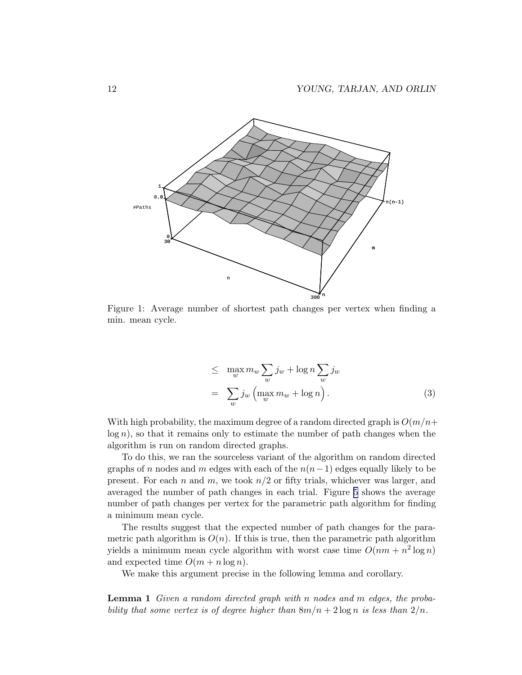<span id="page-11-0"></span>

Figure 1: Average number of shortest path changes per vertex when finding a min. mean cycle.

$$
\leq \max_{w} m_{w} \sum_{w} j_{w} + \log n \sum_{w} j_{w}
$$

$$
= \sum_{w} j_{w} \left( \max_{w} m_{w} + \log n \right). \tag{3}
$$

With high probability, the maximum degree of a random directed graph is  $O(m/n+1)$  $log n$ , so that it remains only to estimate the number of path changes when the algorithm is run on random directed graphs.

To do this, we ran the sourceless variant of the algorithm on random directed graphs of n nodes and m edges with each of the  $n(n-1)$  edges equally likely to be present. For each n and m, we took  $n/2$  or fifty trials, whichever was larger, and averaged the number of path changes in each trial. Figure [5](#page-10-0) shows the average number of path changes per vertex for the parametric path algorithm for finding a minimum mean cycle.

The results suggest that the expected number of path changes for the parametric path algorithm is  $O(n)$ . If this is true, then the parametric path algorithm yields a minimum mean cycle algorithm with worst case time  $O(nm + n^2 \log n)$ and expected time  $O(m + n \log n)$ .

We make this argument precise in the following lemma and corollary.

Lemma 1 Given a random directed graph with n nodes and m edges, the probability that some vertex is of degree higher than  $8m/n + 2\log n$  is less than  $2/n$ .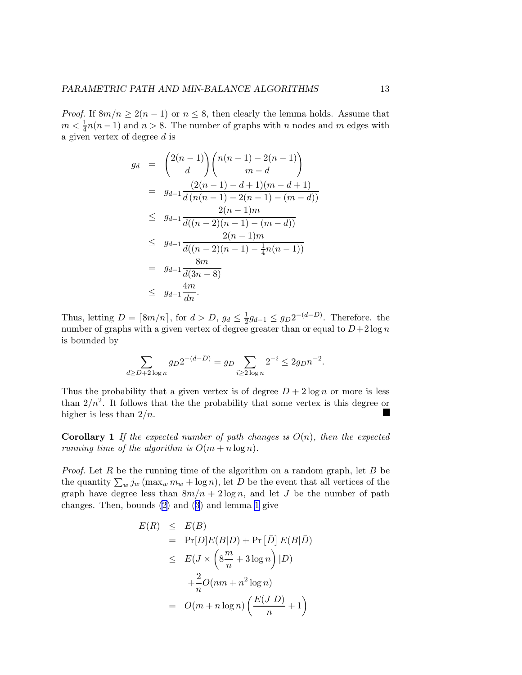<span id="page-12-0"></span>*Proof.* If  $8m/n \ge 2(n-1)$  or  $n \le 8$ , then clearly the lemma holds. Assume that  $m < \frac{1}{4}n(n-1)$  and  $n > 8$ . The number of graphs with n nodes and m edges with a given vertex of degree d is

$$
g_d = \binom{2(n-1)}{d} \binom{n(n-1) - 2(n-1)}{m-d}
$$
  
= 
$$
g_{d-1} \frac{(2(n-1) - d + 1)(m - d + 1)}{d(n(n-1) - 2(n-1) - (m - d))}
$$
  
\$\leq 9d - 1 \frac{2(n-1)m}{d((n-2)(n-1) - (m - d))}\$  
\$\leq 9d - 1 \frac{2(n-1)m}{d((n-2)(n-1) - \frac{1}{4}n(n-1))}\$  
= 
$$
g_{d-1} \frac{8m}{d(3n-8)}
$$
  
\$\leq 9d - 1 \frac{4m}{dn}.

Thus, letting  $D = \lceil 8m/n \rceil$ , for  $d > D$ ,  $g_d \leq \frac{1}{2}$  $\frac{1}{2}g_{d-1} \leq g_D 2^{-(d-D)}$ . Therefore. the number of graphs with a given vertex of degree greater than or equal to  $D+2 \log n$ is bounded by

$$
\sum_{d \ge D+2 \log n} g_D 2^{-(d-D)} = g_D \sum_{i \ge 2 \log n} 2^{-i} \le 2g_D n^{-2}.
$$

Thus the probability that a given vertex is of degree  $D + 2 \log n$  or more is less than  $2/n^2$ . It follows that the the probability that some vertex is this degree or higher is less than  $2/n$ .

**Corollary 1** If the expected number of path changes is  $O(n)$ , then the expected running time of the algorithm is  $O(m + n \log n)$ .

*Proof.* Let R be the running time of the algorithm on a random graph, let B be the quantity  $\sum_{w} j_{w} (\max_{w} m_{w} + \log n)$ , let D be the event that all vertices of the graph have degree less than  $8m/n + 2\log n$ , and let J be the number of path changes. Then, bounds [\(2\)](#page-6-0) and [\(3](#page-10-0)) and lemma [1](#page-11-0) give

$$
E(R) \leq E(B)
$$
  
=  $\Pr[D]E(B|D) + \Pr[\bar{D}]E(B|\bar{D})$   
 $\leq E(J \times (8\frac{m}{n} + 3\log n) | D)$   
 $+ \frac{2}{n}O(nm + n^2 \log n)$   
 $= O(m + n \log n) (\frac{E(J|D)}{n} + 1)$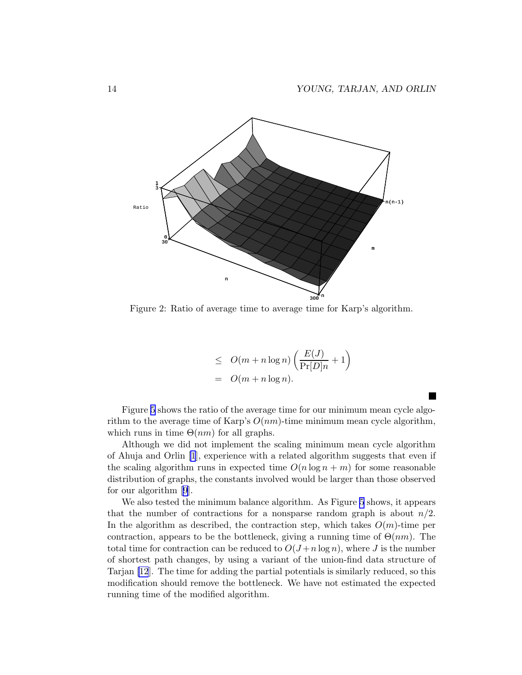

Figure 2: Ratio of average time to average time for Karp's algorithm.

$$
\leq O(m+n\log n)\left(\frac{E(J)}{\Pr[D]n}+1\right)
$$
  
=  $O(m+n\log n).$ 

Figure [5](#page-12-0) shows the ratio of the average time for our minimum mean cycle algorithm to the average time of Karp's  $O(nm)$ -time minimum mean cycle algorithm, which runs in time  $\Theta(nm)$  for all graphs.

Although we did not implement the scaling minimum mean cycle algorithm of Ahuja and Orlin [\[1](#page-15-0)], experience with a related algorithm suggests that even if the scaling algorithm runs in expected time  $O(n \log n + m)$  for some reasonable distribution of graphs, the constants involved would be larger than those observed for our algorithm[[9](#page-16-0)].

We also tested the minimum balance algorithm. As Figure 5 shows, it appears that the number of contractions for a nonsparse random graph is about  $n/2$ . In the algorithm as described, the contraction step, which takes  $O(m)$ -time per contraction, appears to be the bottleneck, giving a running time of  $\Theta(nm)$ . The total time for contraction can be reduced to  $O(J+n \log n)$ , where J is the number of shortest path changes, by using a variant of the union-find data structure of Tarjan [\[12](#page-16-0)]. The time for adding the partial potentials is similarly reduced, so this modification should remove the bottleneck. We have not estimated the expected running time of the modified algorithm.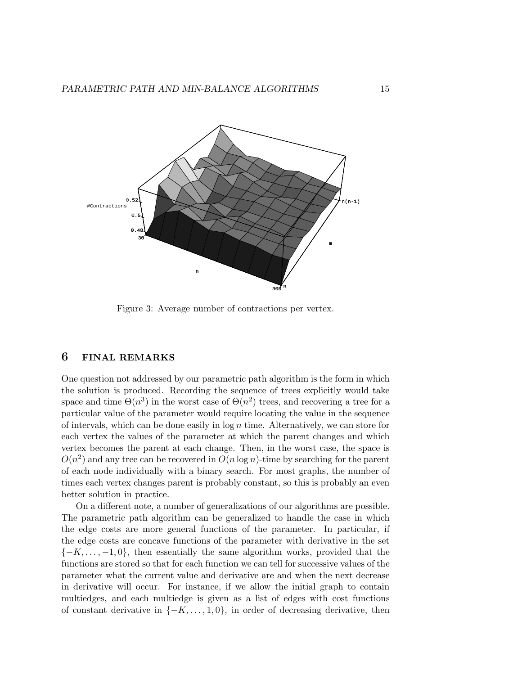

Figure 3: Average number of contractions per vertex.

### 6 FINAL REMARKS

One question not addressed by our parametric path algorithm is the form in which the solution is produced. Recording the sequence of trees explicitly would take space and time  $\Theta(n^3)$  in the worst case of  $\Theta(n^2)$  trees, and recovering a tree for a particular value of the parameter would require locating the value in the sequence of intervals, which can be done easily in  $\log n$  time. Alternatively, we can store for each vertex the values of the parameter at which the parent changes and which vertex becomes the parent at each change. Then, in the worst case, the space is  $O(n^2)$  and any tree can be recovered in  $O(n \log n)$ -time by searching for the parent of each node individually with a binary search. For most graphs, the number of times each vertex changes parent is probably constant, so this is probably an even better solution in practice.

On a different note, a number of generalizations of our algorithms are possible. The parametric path algorithm can be generalized to handle the case in which the edge costs are more general functions of the parameter. In particular, if the edge costs are concave functions of the parameter with derivative in the set  ${-K, \ldots, -1, 0}$ , then essentially the same algorithm works, provided that the functions are stored so that for each function we can tell for successive values of the parameter what the current value and derivative are and when the next decrease in derivative will occur. For instance, if we allow the initial graph to contain multiedges, and each multiedge is given as a list of edges with cost functions of constant derivative in  $\{-K, \ldots, 1, 0\}$ , in order of decreasing derivative, then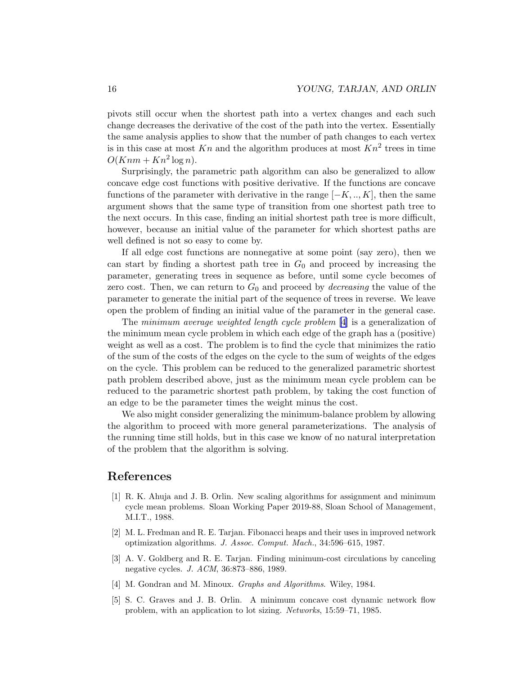<span id="page-15-0"></span>pivots still occur when the shortest path into a vertex changes and each such change decreases the derivative of the cost of the path into the vertex. Essentially the same analysis applies to show that the number of path changes to each vertex is in this case at most  $Kn$  and the algorithm produces at most  $Kn^2$  trees in time  $O(Knm + Kn^2 \log n).$ 

Surprisingly, the parametric path algorithm can also be generalized to allow concave edge cost functions with positive derivative. If the functions are concave functions of the parameter with derivative in the range  $[-K, ..., K]$ , then the same argument shows that the same type of transition from one shortest path tree to the next occurs. In this case, finding an initial shortest path tree is more difficult, however, because an initial value of the parameter for which shortest paths are well defined is not so easy to come by.

If all edge cost functions are nonnegative at some point (say zero), then we can start by finding a shortest path tree in  $G_0$  and proceed by increasing the parameter, generating trees in sequence as before, until some cycle becomes of zero cost. Then, we can return to  $G_0$  and proceed by *decreasing* the value of the parameter to generate the initial part of the sequence of trees in reverse. We leave open the problem of finding an initial value of the parameter in the general case.

The minimum average weighted length cycle problem  $[4]$  is a generalization of the minimum mean cycle problem in which each edge of the graph has a (positive) weight as well as a cost. The problem is to find the cycle that minimizes the ratio of the sum of the costs of the edges on the cycle to the sum of weights of the edges on the cycle. This problem can be reduced to the generalized parametric shortest path problem described above, just as the minimum mean cycle problem can be reduced to the parametric shortest path problem, by taking the cost function of an edge to be the parameter times the weight minus the cost.

We also might consider generalizing the minimum-balance problem by allowing the algorithm to proceed with more general parameterizations. The analysis of the running time still holds, but in this case we know of no natural interpretation of the problem that the algorithm is solving.

# References

- [1] R. K. Ahuja and J. B. Orlin. New scaling algorithms for assignment and minimum cycle mean problems. Sloan Working Paper 2019-88, Sloan School of Management, M.I.T., 1988.
- [2] M. L. Fredman and R. E. Tarjan. Fibonacci heaps and their uses in improved network optimization algorithms. J. Assoc. Comput. Mach., 34:596–615, 1987.
- [3] A. V. Goldberg and R. E. Tarjan. Finding minimum-cost circulations by canceling negative cycles. J. ACM, 36:873–886, 1989.
- [4] M. Gondran and M. Minoux. *Graphs and Algorithms*. Wiley, 1984.
- [5] S. C. Graves and J. B. Orlin. A minimum concave cost dynamic network flow problem, with an application to lot sizing. Networks, 15:59–71, 1985.